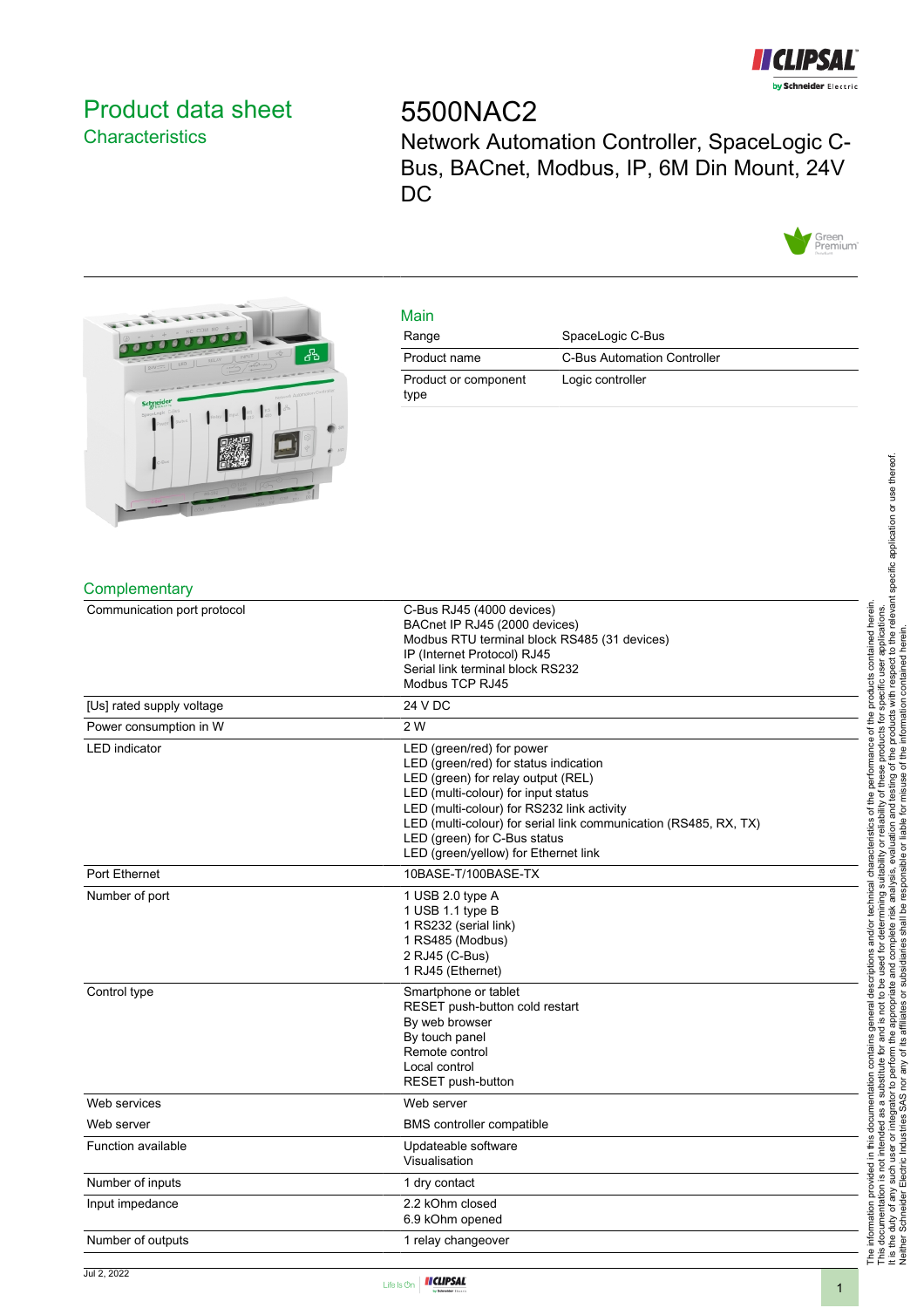

## <span id="page-0-0"></span>Product data sheet **Characteristics**

# 5500NAC2

Network Automation Controller, SpaceLogic C-Bus, BACnet, Modbus, IP, 6M Din Mount, 24V DC





## Main

| Range                        | SpaceLogic C-Bus            |
|------------------------------|-----------------------------|
| Product name                 | C-Bus Automation Controller |
| Product or component<br>type | Logic controller            |

#### **Complementary**

| Communication port protocol | C-Bus RJ45 (4000 devices)<br>BACnet IP RJ45 (2000 devices)<br>Modbus RTU terminal block RS485 (31 devices)<br>IP (Internet Protocol) RJ45<br>Serial link terminal block RS232<br>Modbus TCP RJ45                                                                                                                                          |
|-----------------------------|-------------------------------------------------------------------------------------------------------------------------------------------------------------------------------------------------------------------------------------------------------------------------------------------------------------------------------------------|
| [Us] rated supply voltage   | 24 V DC                                                                                                                                                                                                                                                                                                                                   |
| Power consumption in W      | 2 W                                                                                                                                                                                                                                                                                                                                       |
| <b>LED</b> indicator        | LED (green/red) for power<br>LED (green/red) for status indication<br>LED (green) for relay output (REL)<br>LED (multi-colour) for input status<br>LED (multi-colour) for RS232 link activity<br>LED (multi-colour) for serial link communication (RS485, RX, TX)<br>LED (green) for C-Bus status<br>LED (green/yellow) for Ethernet link |
| Port Ethernet               | 10BASE-T/100BASE-TX                                                                                                                                                                                                                                                                                                                       |
| Number of port              | 1 USB 2.0 type A<br>1 USB 1.1 type B<br>1 RS232 (serial link)<br>1 RS485 (Modbus)<br>2 RJ45 (C-Bus)<br>1 RJ45 (Ethernet)                                                                                                                                                                                                                  |
| Control type                | Smartphone or tablet<br>RESET push-button cold restart<br>By web browser<br>By touch panel<br>Remote control<br>Local control<br>RESET push-button                                                                                                                                                                                        |
| Web services                | Web server                                                                                                                                                                                                                                                                                                                                |
| Web server                  | BMS controller compatible                                                                                                                                                                                                                                                                                                                 |
| <b>Function available</b>   | Updateable software<br>Visualisation                                                                                                                                                                                                                                                                                                      |
| Number of inputs            | 1 dry contact                                                                                                                                                                                                                                                                                                                             |
| Input impedance             | 2.2 kOhm closed<br>6.9 kOhm opened                                                                                                                                                                                                                                                                                                        |
| Number of outputs           | 1 relay changeover                                                                                                                                                                                                                                                                                                                        |